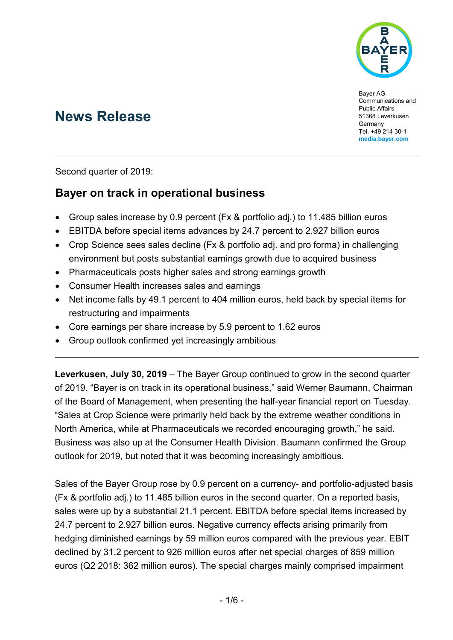

Bayer AG Communications and Public Affairs 51368 Leverkusen **Germany** Tel. +49 214 30-1 **[media.bayer.com](http://media.bayer.com/)**

# **News Release**

#### Second quarter of 2019:

## **Bayer on track in operational business**

- Group sales increase by 0.9 percent (Fx & portfolio adj.) to 11.485 billion euros
- EBITDA before special items advances by 24.7 percent to 2.927 billion euros
- Crop Science sees sales decline (Fx & portfolio adj. and pro forma) in challenging environment but posts substantial earnings growth due to acquired business
- Pharmaceuticals posts higher sales and strong earnings growth
- Consumer Health increases sales and earnings
- Net income falls by 49.1 percent to 404 million euros, held back by special items for restructuring and impairments
- Core earnings per share increase by 5.9 percent to 1.62 euros
- Group outlook confirmed yet increasingly ambitious

**Leverkusen, July 30, 2019** – The Bayer Group continued to grow in the second quarter of 2019. "Bayer is on track in its operational business," said Werner Baumann, Chairman of the Board of Management, when presenting the half-year financial report on Tuesday. "Sales at Crop Science were primarily held back by the extreme weather conditions in North America, while at Pharmaceuticals we recorded encouraging growth," he said. Business was also up at the Consumer Health Division. Baumann confirmed the Group outlook for 2019, but noted that it was becoming increasingly ambitious.

Sales of the Bayer Group rose by 0.9 percent on a currency- and portfolio-adjusted basis (Fx & portfolio adj.) to 11.485 billion euros in the second quarter. On a reported basis, sales were up by a substantial 21.1 percent. EBITDA before special items increased by 24.7 percent to 2.927 billion euros. Negative currency effects arising primarily from hedging diminished earnings by 59 million euros compared with the previous year. EBIT declined by 31.2 percent to 926 million euros after net special charges of 859 million euros (Q2 2018: 362 million euros). The special charges mainly comprised impairment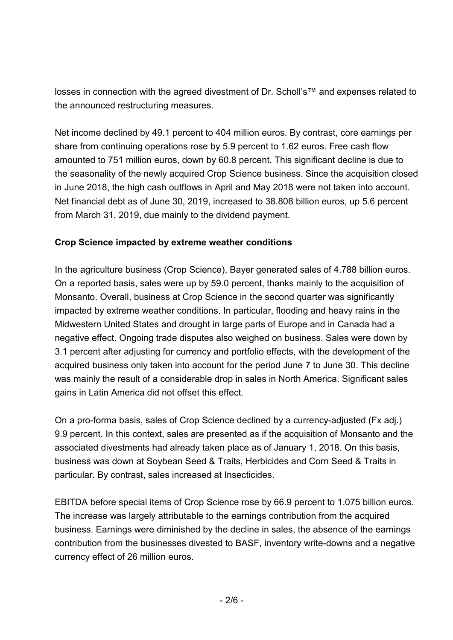losses in connection with the agreed divestment of Dr. Scholl's™ and expenses related to the announced restructuring measures.

Net income declined by 49.1 percent to 404 million euros. By contrast, core earnings per share from continuing operations rose by 5.9 percent to 1.62 euros. Free cash flow amounted to 751 million euros, down by 60.8 percent. This significant decline is due to the seasonality of the newly acquired Crop Science business. Since the acquisition closed in June 2018, the high cash outflows in April and May 2018 were not taken into account. Net financial debt as of June 30, 2019, increased to 38.808 billion euros, up 5.6 percent from March 31, 2019, due mainly to the dividend payment.

### **Crop Science impacted by extreme weather conditions**

In the agriculture business (Crop Science), Bayer generated sales of 4.788 billion euros. On a reported basis, sales were up by 59.0 percent, thanks mainly to the acquisition of Monsanto. Overall, business at Crop Science in the second quarter was significantly impacted by extreme weather conditions. In particular, flooding and heavy rains in the Midwestern United States and drought in large parts of Europe and in Canada had a negative effect. Ongoing trade disputes also weighed on business. Sales were down by 3.1 percent after adjusting for currency and portfolio effects, with the development of the acquired business only taken into account for the period June 7 to June 30. This decline was mainly the result of a considerable drop in sales in North America. Significant sales gains in Latin America did not offset this effect.

On a pro-forma basis, sales of Crop Science declined by a currency-adjusted (Fx adj.) 9.9 percent. In this context, sales are presented as if the acquisition of Monsanto and the associated divestments had already taken place as of January 1, 2018. On this basis, business was down at Soybean Seed & Traits, Herbicides and Corn Seed & Traits in particular. By contrast, sales increased at Insecticides.

EBITDA before special items of Crop Science rose by 66.9 percent to 1.075 billion euros. The increase was largely attributable to the earnings contribution from the acquired business. Earnings were diminished by the decline in sales, the absence of the earnings contribution from the businesses divested to BASF, inventory write-downs and a negative currency effect of 26 million euros.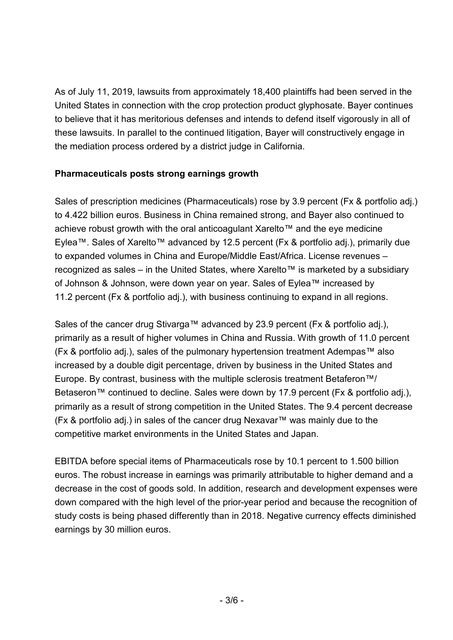As of July 11, 2019, lawsuits from approximately 18,400 plaintiffs had been served in the United States in connection with the crop protection product glyphosate. Bayer continues to believe that it has meritorious defenses and intends to defend itself vigorously in all of these lawsuits. In parallel to the continued litigation, Bayer will constructively engage in the mediation process ordered by a district judge in California.

### **Pharmaceuticals posts strong earnings growth**

Sales of prescription medicines (Pharmaceuticals) rose by 3.9 percent (Fx & portfolio adj.) to 4.422 billion euros. Business in China remained strong, and Bayer also continued to achieve robust growth with the oral anticoagulant Xarelto™ and the eye medicine Eylea™. Sales of Xarelto™ advanced by 12.5 percent (Fx & portfolio adj.), primarily due to expanded volumes in China and Europe/Middle East/Africa. License revenues – recognized as sales – in the United States, where Xarelto™ is marketed by a subsidiary of Johnson & Johnson, were down year on year. Sales of Eylea™ increased by 11.2 percent (Fx & portfolio adj.), with business continuing to expand in all regions.

Sales of the cancer drug Stivarga™ advanced by 23.9 percent (Fx & portfolio adj.), primarily as a result of higher volumes in China and Russia. With growth of 11.0 percent (Fx & portfolio adj.), sales of the pulmonary hypertension treatment Adempas™ also increased by a double digit percentage, driven by business in the United States and Europe. By contrast, business with the multiple sclerosis treatment Betaferon™/ Betaseron™ continued to decline. Sales were down by 17.9 percent (Fx & portfolio adj.), primarily as a result of strong competition in the United States. The 9.4 percent decrease (Fx & portfolio adj.) in sales of the cancer drug Nexavar™ was mainly due to the competitive market environments in the United States and Japan.

EBITDA before special items of Pharmaceuticals rose by 10.1 percent to 1.500 billion euros. The robust increase in earnings was primarily attributable to higher demand and a decrease in the cost of goods sold. In addition, research and development expenses were down compared with the high level of the prior-year period and because the recognition of study costs is being phased differently than in 2018. Negative currency effects diminished earnings by 30 million euros.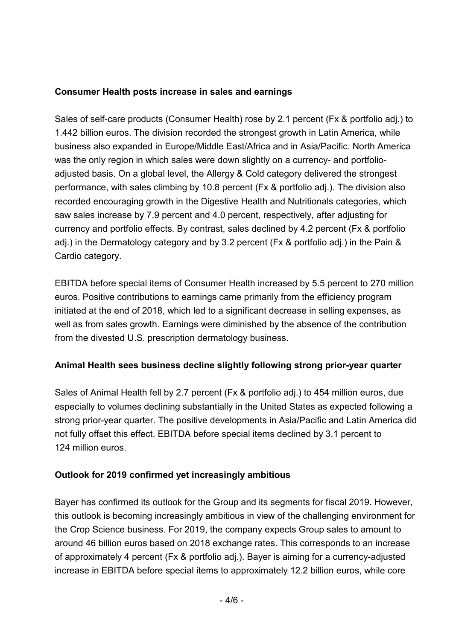### **Consumer Health posts increase in sales and earnings**

Sales of self-care products (Consumer Health) rose by 2.1 percent (Fx & portfolio adj.) to 1.442 billion euros. The division recorded the strongest growth in Latin America, while business also expanded in Europe/Middle East/Africa and in Asia/Pacific. North America was the only region in which sales were down slightly on a currency- and portfolioadjusted basis. On a global level, the Allergy & Cold category delivered the strongest performance, with sales climbing by 10.8 percent (Fx & portfolio adj.). The division also recorded encouraging growth in the Digestive Health and Nutritionals categories, which saw sales increase by 7.9 percent and 4.0 percent, respectively, after adjusting for currency and portfolio effects. By contrast, sales declined by 4.2 percent (Fx & portfolio adj.) in the Dermatology category and by 3.2 percent (Fx & portfolio adj.) in the Pain & Cardio category.

EBITDA before special items of Consumer Health increased by 5.5 percent to 270 million euros. Positive contributions to earnings came primarily from the efficiency program initiated at the end of 2018, which led to a significant decrease in selling expenses, as well as from sales growth. Earnings were diminished by the absence of the contribution from the divested U.S. prescription dermatology business.

### **Animal Health sees business decline slightly following strong prior-year quarter**

Sales of Animal Health fell by 2.7 percent (Fx & portfolio adj.) to 454 million euros, due especially to volumes declining substantially in the United States as expected following a strong prior-year quarter. The positive developments in Asia/Pacific and Latin America did not fully offset this effect. EBITDA before special items declined by 3.1 percent to 124 million euros.

### **Outlook for 2019 confirmed yet increasingly ambitious**

Bayer has confirmed its outlook for the Group and its segments for fiscal 2019. However, this outlook is becoming increasingly ambitious in view of the challenging environment for the Crop Science business. For 2019, the company expects Group sales to amount to around 46 billion euros based on 2018 exchange rates. This corresponds to an increase of approximately 4 percent (Fx & portfolio adj.). Bayer is aiming for a currency-adjusted increase in EBITDA before special items to approximately 12.2 billion euros, while core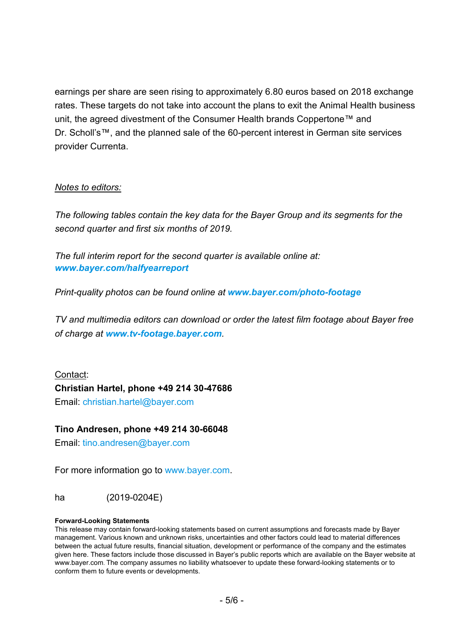earnings per share are seen rising to approximately 6.80 euros based on 2018 exchange rates. These targets do not take into account the plans to exit the Animal Health business unit, the agreed divestment of the Consumer Health brands Coppertone™ and Dr. Scholl's™, and the planned sale of the 60-percent interest in German site services provider Currenta.

#### *Notes to editors:*

*The following tables contain the key data for the Bayer Group and its segments for the second quarter and first six months of 2019.*

*The full interim report for the second quarter is available online at: [www.bayer.com/halfyearreport](http://www.bayer.com/halfyearreport)*

*Print-quality photos can be found online at [www.bayer.com/photo-footage](https://www.bayer.com/photo-footage)*

*TV and multimedia editors can download or order the latest film footage about Bayer free of charge at [www.tv-footage.bayer.com](https://www.tv-footage.bayer.com/).*

Contact: **Christian Hartel, phone +49 214 30-47686** Email: christian.hartel@bayer.com

#### **Tino Andresen, phone +49 214 30-66048**

Email: [tino.andresen@bayer.com](mailto:tino.andresen@bayer.com)

For more information go to [www.bayer.com.](http://www.bayer.com/)

ha (2019-0204E)

#### **Forward-Looking Statements**

This release may contain forward-looking statements based on current assumptions and forecasts made by Bayer management. Various known and unknown risks, uncertainties and other factors could lead to material differences between the actual future results, financial situation, development or performance of the company and the estimates given here. These factors include those discussed in Bayer's public reports which are available on the Bayer website at [www.bayer.com.](http://www.bayer.com/) The company assumes no liability whatsoever to update these forward-looking statements or to conform them to future events or developments.